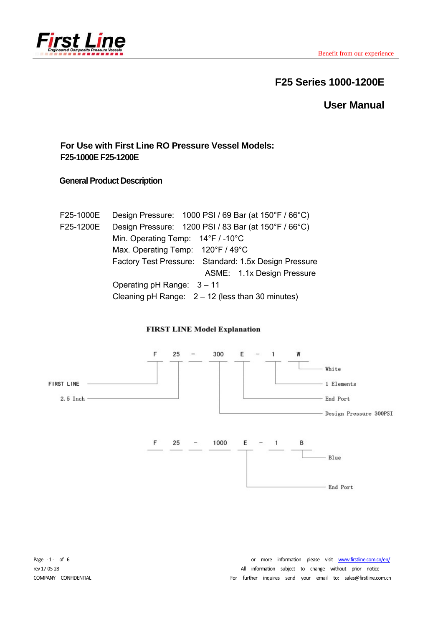

# **F25 Series 1000-1200E**

**User Manual** 

## **For Use with First Line RO Pressure Vessel Models: F25-1000E F25-1200E**

### **General Product Description**

| F25-1000E | Design Pressure: 1000 PSI / 69 Bar (at 150°F / 66°C)  |
|-----------|-------------------------------------------------------|
| F25-1200E | Design Pressure: 1200 PSI / 83 Bar (at 150°F / 66°C)  |
|           | Min. Operating Temp: $14^{\circ}F / -10^{\circ}C$     |
|           | Max. Operating Temp: 120°F / 49°C                     |
|           | Factory Test Pressure: Standard: 1.5x Design Pressure |
|           | ASME: 1.1x Design Pressure                            |
|           | Operating $pH$ Range: $3 - 11$                        |
|           | Cleaning pH Range: $2 - 12$ (less than 30 minutes)    |

#### **FIRST LINE Model Explanation**



Page -1- of 6 **6 1.1 1.1 1.1 1.1 1.1 1.1 1.1 1.1 1.1 1.1 1.1 1.1 1.1 1.1 1.1 1.1 1.1 1.1 1.1 1.1 1.1 1.1 1.1 1.1 1.1 1.1 1.1 1.1 1.1 1.1 1.1 1.1 1.1 1.1** rev 17-05-28 **and the COVID-28 COVID-28 COVID-28 COVID-28 COVID-28 COVID-28 COVID-28 COVID-28 COVID-28 COVID-28 COVID-28 COVID-28 COVID-28 COVID-28 COVID-28 COVID-28 COVID-28 COVID-28 CO** COMPANY CONFIDENTIAL **CONTINGLACT CONFIDENTIAL** CONFIDENTIAL CONFIDENTIAL CONFIDENTIAL CONFIDENTIAL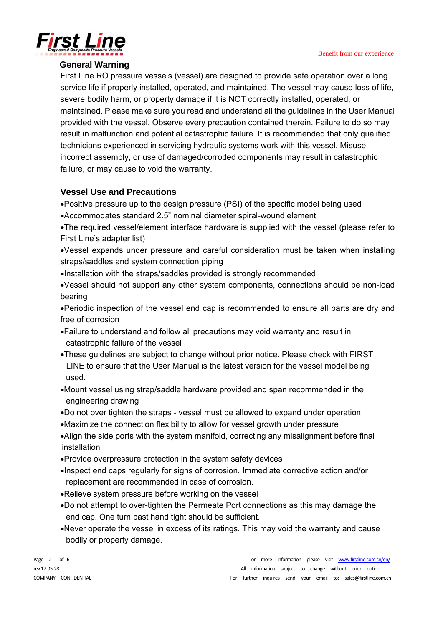

### **General Warning**

First Line RO pressure vessels (vessel) are designed to provide safe operation over a long service life if properly installed, operated, and maintained. The vessel may cause loss of life, severe bodily harm, or property damage if it is NOT correctly installed, operated, or maintained. Please make sure you read and understand all the guidelines in the User Manual provided with the vessel. Observe every precaution contained therein. Failure to do so may result in malfunction and potential catastrophic failure. It is recommended that only qualified technicians experienced in servicing hydraulic systems work with this vessel. Misuse, incorrect assembly, or use of damaged/corroded components may result in catastrophic failure, or may cause to void the warranty.

### **Vessel Use and Precautions**

Positive pressure up to the design pressure (PSI) of the specific model being used Accommodates standard 2.5" nominal diameter spiral-wound element

The required vessel/element interface hardware is supplied with the vessel (please refer to First Line's adapter list)

Vessel expands under pressure and careful consideration must be taken when installing straps/saddles and system connection piping

Installation with the straps/saddles provided is strongly recommended

Vessel should not support any other system components, connections should be non-load bearing

Periodic inspection of the vessel end cap is recommended to ensure all parts are dry and free of corrosion

- Failure to understand and follow all precautions may void warranty and result in catastrophic failure of the vessel
- These guidelines are subject to change without prior notice. Please check with FIRST LINE to ensure that the User Manual is the latest version for the vessel model being used.
- Mount vessel using strap/saddle hardware provided and span recommended in the engineering drawing
- Do not over tighten the straps vessel must be allowed to expand under operation
- Maximize the connection flexibility to allow for vessel growth under pressure
- Align the side ports with the system manifold, correcting any misalignment before final installation
- Provide overpressure protection in the system safety devices
- Inspect end caps regularly for signs of corrosion. Immediate corrective action and/or replacement are recommended in case of corrosion.
- Relieve system pressure before working on the vessel
- Do not attempt to over-tighten the Permeate Port connections as this may damage the end cap. One turn past hand tight should be sufficient.
- Never operate the vessel in excess of its ratings. This may void the warranty and cause bodily or property damage.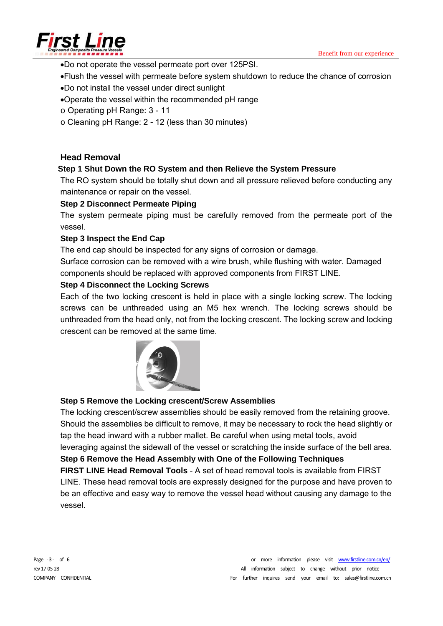

- Do not operate the vessel permeate port over 125PSI.
- Flush the vessel with permeate before system shutdown to reduce the chance of corrosion
- Do not install the vessel under direct sunlight
- Operate the vessel within the recommended pH range
- o Operating pH Range: 3 11
- o Cleaning pH Range: 2 12 (less than 30 minutes)

#### **Head Removal**

#### **Step 1 Shut Down the RO System and then Relieve the System Pressure**

The RO system should be totally shut down and all pressure relieved before conducting any maintenance or repair on the vessel.

#### **Step 2 Disconnect Permeate Piping**

The system permeate piping must be carefully removed from the permeate port of the vessel.

#### **Step 3 Inspect the End Cap**

The end cap should be inspected for any signs of corrosion or damage.

Surface corrosion can be removed with a wire brush, while flushing with water. Damaged components should be replaced with approved components from FIRST LINE.

#### **Step 4 Disconnect the Locking Screws**

Each of the two locking crescent is held in place with a single locking screw. The locking screws can be unthreaded using an M5 hex wrench. The locking screws should be unthreaded from the head only, not from the locking crescent. The locking screw and locking crescent can be removed at the same time.



#### **Step 5 Remove the Locking crescent/Screw Assemblies**

The locking crescent/screw assemblies should be easily removed from the retaining groove. Should the assemblies be difficult to remove, it may be necessary to rock the head slightly or tap the head inward with a rubber mallet. Be careful when using metal tools, avoid leveraging against the sidewall of the vessel or scratching the inside surface of the bell area. **Step 6 Remove the Head Assembly with One of the Following Techniques FIRST LINE Head Removal Tools** - A set of head removal tools is available from FIRST LINE. These head removal tools are expressly designed for the purpose and have proven to be an effective and easy way to remove the vessel head without causing any damage to the vessel.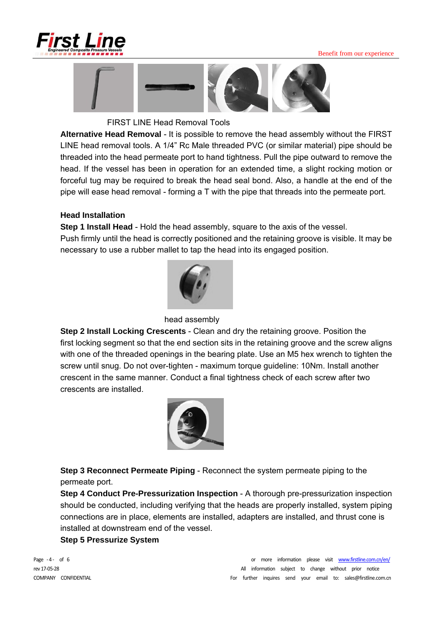

#### Benefit from our experience



FIRST LINE Head Removal Tools

**Alternative Head Removal** - It is possible to remove the head assembly without the FIRST LINE head removal tools. A 1/4" Rc Male threaded PVC (or similar material) pipe should be threaded into the head permeate port to hand tightness. Pull the pipe outward to remove the head. If the vessel has been in operation for an extended time, a slight rocking motion or forceful tug may be required to break the head seal bond. Also, a handle at the end of the pipe will ease head removal - forming a T with the pipe that threads into the permeate port.

#### **Head Installation**

**Step 1 Install Head** - Hold the head assembly, square to the axis of the vessel. Push firmly until the head is correctly positioned and the retaining groove is visible. It may be necessary to use a rubber mallet to tap the head into its engaged position.



head assembly

**Step 2 Install Locking Crescents** - Clean and dry the retaining groove. Position the first locking segment so that the end section sits in the retaining groove and the screw aligns with one of the threaded openings in the bearing plate. Use an M5 hex wrench to tighten the screw until snug. Do not over-tighten - maximum torque guideline: 10Nm. Install another crescent in the same manner. Conduct a final tightness check of each screw after two crescents are installed.



**Step 3 Reconnect Permeate Piping** - Reconnect the system permeate piping to the permeate port.

**Step 4 Conduct Pre-Pressurization Inspection** - A thorough pre-pressurization inspection should be conducted, including verifying that the heads are properly installed, system piping connections are in place, elements are installed, adapters are installed, and thrust cone is installed at downstream end of the vessel.

#### **Step 5 Pressurize System**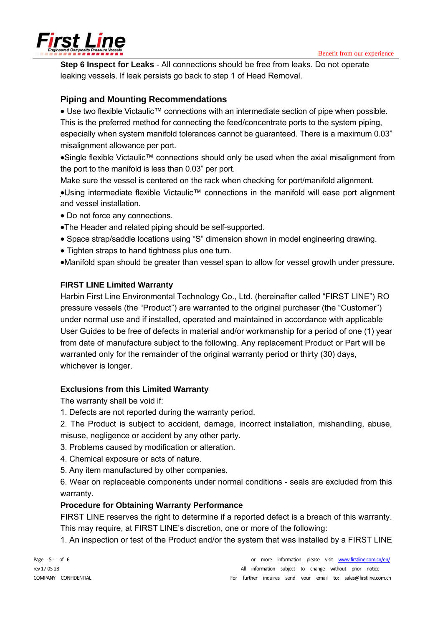

**Step 6 Inspect for Leaks** - All connections should be free from leaks. Do not operate leaking vessels. If leak persists go back to step 1 of Head Removal.

### **Piping and Mounting Recommendations**

• Use two flexible Victaulic<sup>™</sup> connections with an intermediate section of pipe when possible. This is the preferred method for connecting the feed/concentrate ports to the system piping, especially when system manifold tolerances cannot be guaranteed. There is a maximum 0.03" misalignment allowance per port.

•Single flexible Victaulic<sup>™</sup> connections should only be used when the axial misalignment from the port to the manifold is less than 0.03" per port.

Make sure the vessel is centered on the rack when checking for port/manifold alignment.

•Using intermediate flexible Victaulic™ connections in the manifold will ease port alignment and vessel installation.

- Do not force any connections.
- The Header and related piping should be self-supported.
- Space strap/saddle locations using "S" dimension shown in model engineering drawing.
- Tighten straps to hand tightness plus one turn.
- Manifold span should be greater than vessel span to allow for vessel growth under pressure.

#### **FIRST LINE Limited Warranty**

Harbin First Line Environmental Technology Co., Ltd. (hereinafter called "FIRST LINE") RO pressure vessels (the "Product") are warranted to the original purchaser (the "Customer") under normal use and if installed, operated and maintained in accordance with applicable User Guides to be free of defects in material and/or workmanship for a period of one (1) year from date of manufacture subject to the following. Any replacement Product or Part will be warranted only for the remainder of the original warranty period or thirty (30) days, whichever is longer.

#### **Exclusions from this Limited Warranty**

The warranty shall be void if:

- 1. Defects are not reported during the warranty period.
- 2. The Product is subject to accident, damage, incorrect installation, mishandling, abuse, misuse, negligence or accident by any other party.
- 3. Problems caused by modification or alteration.
- 4. Chemical exposure or acts of nature.
- 5. Any item manufactured by other companies.
- 6. Wear on replaceable components under normal conditions seals are excluded from this warranty.

#### **Procedure for Obtaining Warranty Performance**

FIRST LINE reserves the right to determine if a reported defect is a breach of this warranty. This may require, at FIRST LINE's discretion, one or more of the following:

1. An inspection or test of the Product and/or the system that was installed by a FIRST LINE